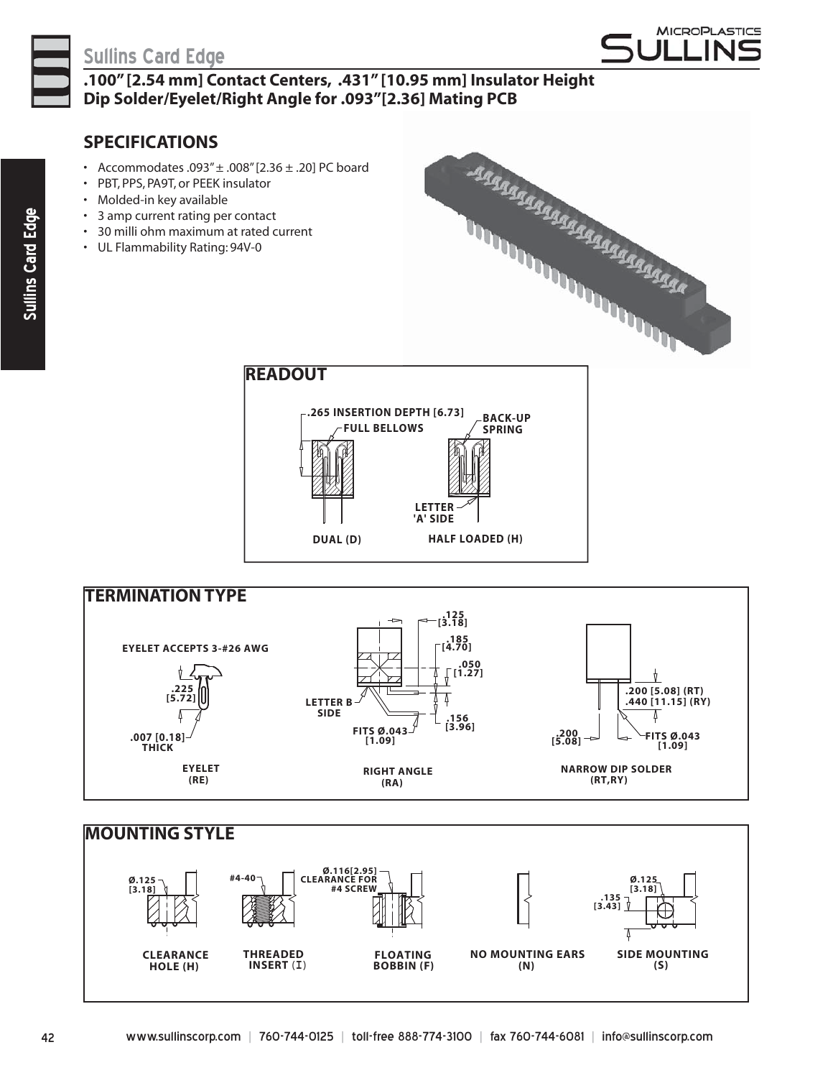

## **Sullins Card Edge**



**.100" [2.54 mm] Contact Centers, .431" [10.95 mm] Insulator Height Dip Solder/Eyelet/Right Angle for .093"[2.36] Mating PCB**

## **SPECIFICATIONS**

- Accommodates .093" $\pm$  .008" [2.36 $\pm$  .20] PC board
- PBT, PPS, PA9T, or PEEK insulator
- Molded-in key available
- 3 amp current rating per contact
- 30 milli ohm maximum at rated current
- UL Flammability Rating: 94V-0









42 www.sullinscorp.com **|** 760-744-0125 **|** toll-free 888-774-3100 **|** fax 760-744-6081 **|** info@sullinscorp.com